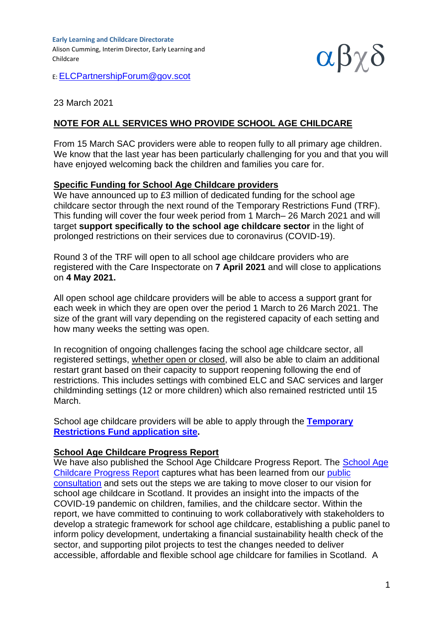**Early Learning and Childcare Directorate** Alison Cumming, Interim Director, Early Learning and Childcare



E: [ELCPartnershipForum@gov.scot](mailto:ELCPartnershipForum@gov.scot)

## 23 March 2021

## **NOTE FOR ALL SERVICES WHO PROVIDE SCHOOL AGE CHILDCARE**

From 15 March SAC providers were able to reopen fully to all primary age children. We know that the last year has been particularly challenging for you and that you will have enjoyed welcoming back the children and families you care for.

## **Specific Funding for School Age Childcare providers**

We have announced up to £3 million of dedicated funding for the school age childcare sector through the next round of the Temporary Restrictions Fund (TRF). This funding will cover the four week period from 1 March– 26 March 2021 and will target **support specifically to the school age childcare sector** in the light of prolonged restrictions on their services due to coronavirus (COVID-19).

Round 3 of the TRF will open to all school age childcare providers who are registered with the Care Inspectorate on **7 April 2021** and will close to applications on **4 May 2021.**

All open school age childcare providers will be able to access a support grant for each week in which they are open over the period 1 March to 26 March 2021. The size of the grant will vary depending on the registered capacity of each setting and how many weeks the setting was open.

In recognition of ongoing challenges facing the school age childcare sector, all registered settings, whether open or closed, will also be able to claim an additional restart grant based on their capacity to support reopening following the end of restrictions. This includes settings with combined ELC and SAC services and larger childminding settings (12 or more children) which also remained restricted until 15 March.

School age childcare providers will be able to apply through the **[Temporary](https://bisaccount.scot/business/webHP?requestType=ApplicationRH&actionVal=homePage&screenId=114&redirectPage=OT9Qe6maOogbXTkYKcvbuCAWmUBZ1p8nUGpf2C5PlIYMKvZ8ULtvxLbNPEvHXFt0uJWI6jGR7JtunsTYtiL0Tx%252BZZfMREGpC%22)  [Restrictions Fund application site.](https://bisaccount.scot/business/webHP?requestType=ApplicationRH&actionVal=homePage&screenId=114&redirectPage=OT9Qe6maOogbXTkYKcvbuCAWmUBZ1p8nUGpf2C5PlIYMKvZ8ULtvxLbNPEvHXFt0uJWI6jGR7JtunsTYtiL0Tx%252BZZfMREGpC%22)**

## **School Age Childcare Progress Report**

We have also published the [School Age](https://www.gov.scot/isbn/9781800046566) Childcare Progress Report. The School Age [Childcare Progress Report](https://www.gov.scot/isbn/9781800046566) captures what has been learned from our [public](https://www.gov.scot/publications/out-school-care-analysis-consultation-responses/)  [consultation](https://www.gov.scot/publications/out-school-care-analysis-consultation-responses/) and sets out the steps we are taking to move closer to our vision for school age childcare in Scotland. It provides an insight into the impacts of the COVID-19 pandemic on children, families, and the childcare sector. Within the report, we have committed to continuing to work collaboratively with stakeholders to develop a strategic framework for school age childcare, establishing a public panel to inform policy development, undertaking a financial sustainability health check of the sector, and supporting pilot projects to test the changes needed to deliver accessible, affordable and flexible school age childcare for families in Scotland. A